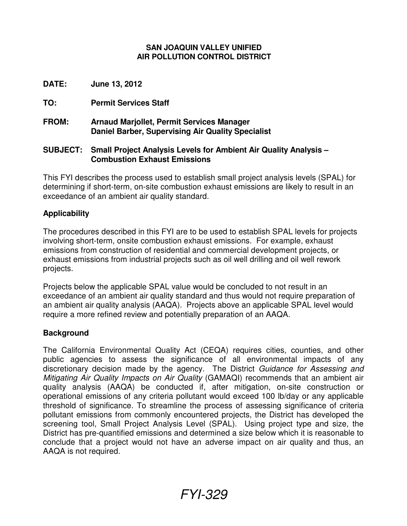#### **SAN JOAQUIN VALLEY UNIFIED AIR POLLUTION CONTROL DISTRICT**

**DATE: June 13, 2012** 

**TO: Permit Services Staff** 

**FROM: Arnaud Marjollet, Permit Services Manager Daniel Barber, Supervising Air Quality Specialist**

### **SUBJECT: Small Project Analysis Levels for Ambient Air Quality Analysis – Combustion Exhaust Emissions**

This FYI describes the process used to establish small project analysis levels (SPAL) for determining if short-term, on-site combustion exhaust emissions are likely to result in an exceedance of an ambient air quality standard.

## **Applicability**

The procedures described in this FYI are to be used to establish SPAL levels for projects involving short-term, onsite combustion exhaust emissions. For example, exhaust emissions from construction of residential and commercial development projects, or exhaust emissions from industrial projects such as oil well drilling and oil well rework projects.

Projects below the applicable SPAL value would be concluded to not result in an exceedance of an ambient air quality standard and thus would not require preparation of an ambient air quality analysis (AAQA). Projects above an applicable SPAL level would require a more refined review and potentially preparation of an AAQA.

#### **Background**

The California Environmental Quality Act (CEQA) requires cities, counties, and other public agencies to assess the significance of all environmental impacts of any discretionary decision made by the agency. The District Guidance for Assessing and Mitigating Air Quality Impacts on Air Quality (GAMAQI) recommends that an ambient air quality analysis (AAQA) be conducted if, after mitigation, on-site construction or operational emissions of any criteria pollutant would exceed 100 lb/day or any applicable threshold of significance. To streamline the process of assessing significance of criteria pollutant emissions from commonly encountered projects, the District has developed the screening tool, Small Project Analysis Level (SPAL). Using project type and size, the District has pre-quantified emissions and determined a size below which it is reasonable to conclude that a project would not have an adverse impact on air quality and thus, an AAQA is not required.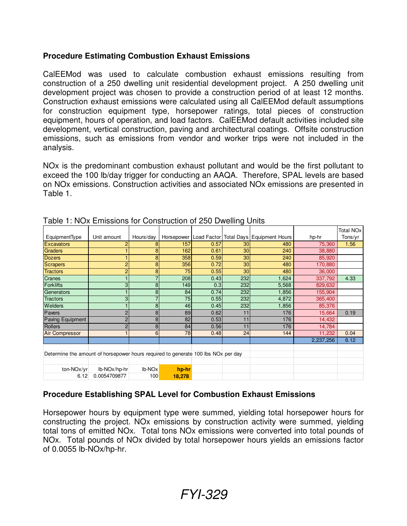# **Procedure Estimating Combustion Exhaust Emissions**

CalEEMod was used to calculate combustion exhaust emissions resulting from construction of a 250 dwelling unit residential development project. A 250 dwelling unit development project was chosen to provide a construction period of at least 12 months. Construction exhaust emissions were calculated using all CalEEMod default assumptions for construction equipment type, horsepower ratings, total pieces of construction equipment, hours of operation, and load factors. CalEEMod default activities included site development, vertical construction, paving and architectural coatings. Offsite construction emissions, such as emissions from vendor and worker trips were not included in the analysis.

NOx is the predominant combustion exhaust pollutant and would be the first pollutant to exceed the 100 lb/day trigger for conducting an AAQA. Therefore, SPAL levels are based on NOx emissions. Construction activities and associated NOx emissions are presented in Table 1.

|                                                                                   |              |                    |        |      | ີ   |                                                         |           |                             |
|-----------------------------------------------------------------------------------|--------------|--------------------|--------|------|-----|---------------------------------------------------------|-----------|-----------------------------|
|                                                                                   |              |                    |        |      |     |                                                         |           | <b>Total NO<sub>x</sub></b> |
| EquipmentType                                                                     | Unit amount  | Hours/day          |        |      |     | Horsepower   Load Factor   Total Days   Equipment Hours | hp-hr     | Tons/yr                     |
| <b>Excavators</b>                                                                 | 2            | 8                  | 157    | 0.57 | 30  | 480                                                     | 75,360    | 1.56                        |
| Graders                                                                           |              | 8                  | 162    | 0.61 | 30  | 240                                                     | 38,880    |                             |
| <b>Dozers</b>                                                                     |              | 8                  | 358    | 0.59 | 30  | 240                                                     | 85,920    |                             |
| Scrapers                                                                          | 2            | 8                  | 356    | 0.72 | 30  | 480                                                     | 170,880   |                             |
| <b>Tractors</b>                                                                   | 2            | 8                  | 75     | 0.55 | 30  | 480                                                     | 36,000    |                             |
| <b>Cranes</b>                                                                     |              |                    | 208    | 0.43 | 232 | 1,624                                                   | 337,792   | 4.33                        |
| <b>Forklifts</b>                                                                  | 3            | 8                  | 149    | 0.3  | 232 | 5,568                                                   | 829,632   |                             |
| Generators                                                                        |              | 8                  | 84     | 0.74 | 232 | 1,856                                                   | 155,904   |                             |
| <b>Tractors</b>                                                                   | 3            | 7                  | 75     | 0.55 | 232 | 4,872                                                   | 365,400   |                             |
| Welders                                                                           |              | 8                  | 46     | 0.45 | 232 | 1,856                                                   | 85,376    |                             |
| Pavers                                                                            | 2            | 8                  | 89     | 0.62 | 11  | 176                                                     | 15,664    | 0.19                        |
| Paving Equipment                                                                  | 2            | 8                  | 82     | 0.53 | 11  | 176                                                     | 14,432    |                             |
| Rollers                                                                           |              | 8                  | 84     | 0.56 | 11  | 176                                                     | 14,784    |                             |
| <b>Air Compressor</b>                                                             |              | 6                  | 78     | 0.48 | 24  | 144                                                     | 11,232    | 0.04                        |
|                                                                                   |              |                    |        |      |     |                                                         | 2,237,256 | 6.12                        |
|                                                                                   |              |                    |        |      |     |                                                         |           |                             |
| Determine the amount of horsepower hours required to generate 100 lbs NOx per day |              |                    |        |      |     |                                                         |           |                             |
|                                                                                   |              |                    |        |      |     |                                                         |           |                             |
| ton-NOx/yr                                                                        | lb-NOx/hp-hr | Ib-NO <sub>x</sub> | hp-hr  |      |     |                                                         |           |                             |
| 6.12                                                                              | 0.0054709877 | 100                | 18,278 |      |     |                                                         |           |                             |

Table 1: NOx Emissions for Construction of 250 Dwelling Units

# **Procedure Establishing SPAL Level for Combustion Exhaust Emissions**

Horsepower hours by equipment type were summed, yielding total horsepower hours for constructing the project. NOx emissions by construction activity were summed, yielding total tons of emitted NOx. Total tons NOx emissions were converted into total pounds of NOx. Total pounds of NOx divided by total horsepower hours yields an emissions factor of 0.0055 lb-NOx/hp-hr.